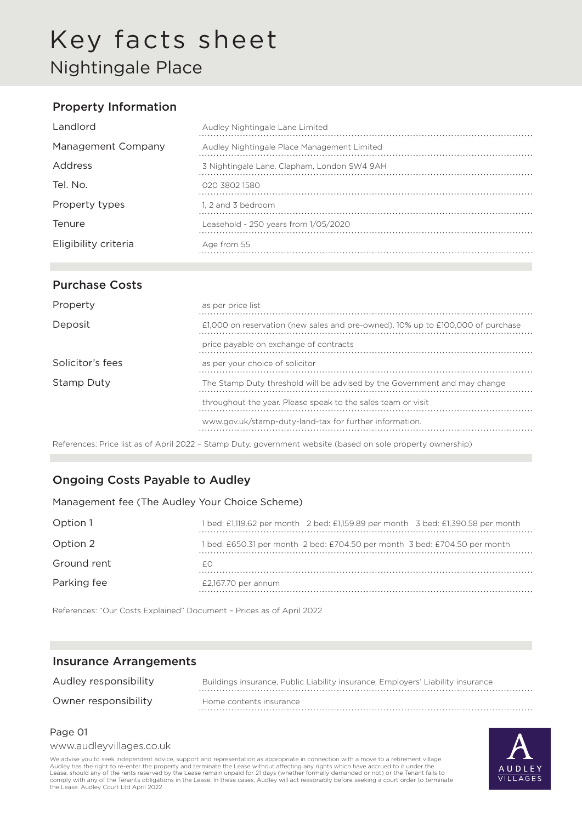# Key facts sheet Nightingale Place

## Property Information

| Landlord             | Audley Nightingale Lane Limited             |
|----------------------|---------------------------------------------|
| Management Company   | Audley Nightingale Place Management Limited |
| Address              | 3 Nightingale Lane, Clapham, London SW4 9AH |
| Tel. No.             | 020 3802 1580                               |
| Property types       | 1. 2 and 3 bedroom                          |
| Tenure               | Leasehold - 250 years from 1/05/2020        |
| Eligibility criteria | Age from 55                                 |

### Purchase Costs

| Property         | as per price list                                                                                                                                                                                                                                                                                                                                                                                                                                            |
|------------------|--------------------------------------------------------------------------------------------------------------------------------------------------------------------------------------------------------------------------------------------------------------------------------------------------------------------------------------------------------------------------------------------------------------------------------------------------------------|
| Deposit          | £1,000 on reservation (new sales and pre-owned), 10% up to £100,000 of purchase                                                                                                                                                                                                                                                                                                                                                                              |
|                  | price payable on exchange of contracts                                                                                                                                                                                                                                                                                                                                                                                                                       |
| Solicitor's fees | as per your choice of solicitor                                                                                                                                                                                                                                                                                                                                                                                                                              |
| Stamp Duty       | The Stamp Duty threshold will be advised by the Government and may change                                                                                                                                                                                                                                                                                                                                                                                    |
|                  | throughout the year. Please speak to the sales team or visit                                                                                                                                                                                                                                                                                                                                                                                                 |
|                  | www.gov.uk/stamp-duty-land-tax for further information.                                                                                                                                                                                                                                                                                                                                                                                                      |
|                  | $\mathcal{L} = \mathcal{L} = \mathcal{L} = \mathcal{L} = \mathcal{L} = \mathcal{L} = \mathcal{L} = \mathcal{L} = \mathcal{L} = \mathcal{L} = \mathcal{L} = \mathcal{L} = \mathcal{L} = \mathcal{L} = \mathcal{L} = \mathcal{L} = \mathcal{L} = \mathcal{L} = \mathcal{L} = \mathcal{L} = \mathcal{L} = \mathcal{L} = \mathcal{L} = \mathcal{L} = \mathcal{L} = \mathcal{L} = \mathcal{L} = \mathcal{L} = \mathcal{L} = \mathcal{L} = \mathcal{L} = \mathcal$ |

References: Price list as of April 2022 – Stamp Duty, government website (based on sole property ownership)

## Ongoing Costs Payable to Audley

Management fee (The Audley Your Choice Scheme)

| Option 1    | 1 bed: £1,119.62 per month 2 bed: £1,159.89 per month 3 bed: £1,390.58 per month |
|-------------|----------------------------------------------------------------------------------|
| Option 2    | l bed: £650.31 per month 2 bed: £704.50 per month 3 bed: £704.50 per month       |
| Ground rent |                                                                                  |
| Parking fee | $£2,167.70$ per annum                                                            |

References: "Our Costs Explained" Document – Prices as of April 2022

#### Insurance Arrangements

| Audley responsibility | Buildings insurance, Public Liability insurance, Employers' Liability insurance |
|-----------------------|---------------------------------------------------------------------------------|
| Owner responsibility  | Home contents insurance                                                         |

#### Page 01

www.audleyvillages.co.uk

We advise you to seek independent advice, support and representation as appropriate in connection with a move to a retirement village. Audley has the right to re-enter the property and terminate the Lease without affecting any rights which have accrued to it under the<br>Lease, should any of the rents reserved by the Lease remain unpaid for 21 days (whether comply with any of the Tenants obligations in the Lease. In these cases, Audley will act reasonably before seeking a court order to terminate the Lease. Audley Court Ltd April 2022